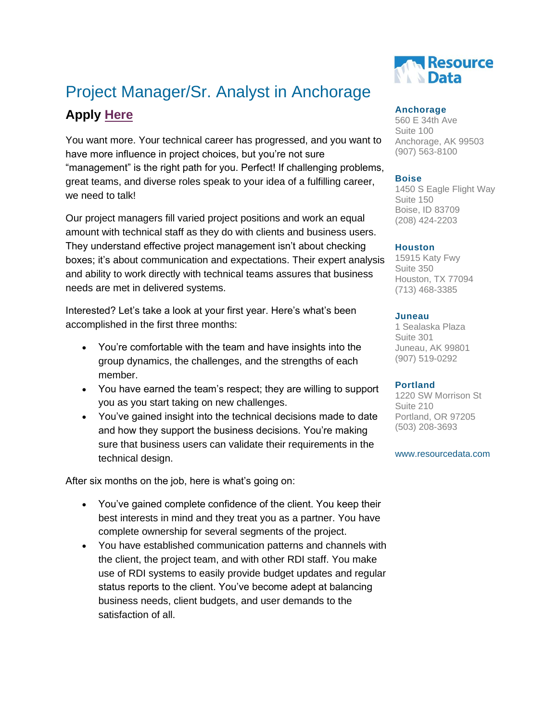## Project Manager/Sr. Analyst in Anchorage **Apply [Here](https://www.resourcedata.com/careers/apply/368)**

You want more. Your technical career has progressed, and you want to have more influence in project choices, but you're not sure "management" is the right path for you. Perfect! If challenging problems, great teams, and diverse roles speak to your idea of a fulfilling career, we need to talk!

Our project managers fill varied project positions and work an equal amount with technical staff as they do with clients and business users. They understand effective project management isn't about checking boxes; it's about communication and expectations. Their expert analysis and ability to work directly with technical teams assures that business needs are met in delivered systems.

Interested? Let's take a look at your first year. Here's what's been accomplished in the first three months:

- You're comfortable with the team and have insights into the group dynamics, the challenges, and the strengths of each member.
- You have earned the team's respect; they are willing to support you as you start taking on new challenges.
- You've gained insight into the technical decisions made to date and how they support the business decisions. You're making sure that business users can validate their requirements in the technical design.

After six months on the job, here is what's going on:

- You've gained complete confidence of the client. You keep their best interests in mind and they treat you as a partner. You have complete ownership for several segments of the project.
- You have established communication patterns and channels with the client, the project team, and with other RDI staff. You make use of RDI systems to easily provide budget updates and regular status reports to the client. You've become adept at balancing business needs, client budgets, and user demands to the satisfaction of all.



## **Anchorage**

560 E 34th Ave Suite 100 Anchorage, AK 99503 (907) 563-8100

### **Boise**

1450 S Eagle Flight Way Suite 150 Boise, ID 83709 (208) 424-2203

### **Houston**

15915 Katy Fwy Suite 350 Houston, TX 77094 (713) 468-3385

#### **Juneau**

1 Sealaska Plaza Suite 301 Juneau, AK 99801 (907) 519-0292

### **Portland**

1220 SW Morrison St Suite 210 Portland, OR 97205 (503) 208-3693

#### www.resourcedata.com